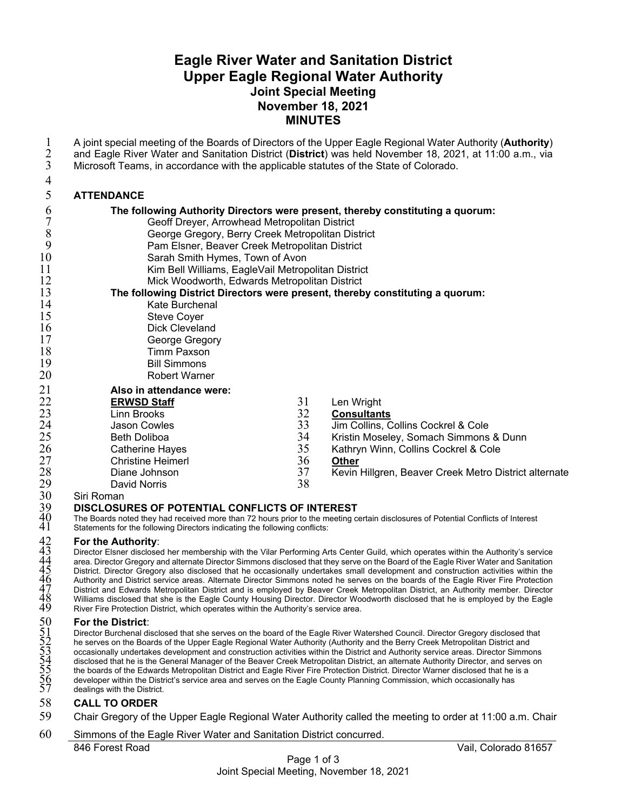# **Eagle River Water and Sanitation District Upper Eagle Regional Water Authority Joint Special Meeting November 18, 2021 MINUTES**

846 Forest Road Vail, Colorado 81657 1 A joint special meeting of the Boards of Directors of the Upper Eagle Regional Water Authority (**Authority**)<br>2 and Eagle River Water and Sanitation District (**District**) was held November 18, 2021, at 11:00 a.m., via<br>3 M 2 and Eagle River Water and Sanitation District (**District**) was held November 18, 2021, at 11:00 a.m., via Microsoft Teams, in accordance with the applicable statutes of the State of Colorado. 4 5 **ATTENDANCE**  6 **The following Authority Directors were present, thereby constituting a quorum:**  7 Geoff Dreyer, Arrowhead Metropolitan District<br>8 George Gregory, Berry Creek Metropolitan Dis<br>9 Pam Elsner, Beaver Creek Metropolitan Distric George Gregory, Berry Creek Metropolitan District 9 Pam Elsner, Beaver Creek Metropolitan District 10 Sarah Smith Hymes, Town of Avon 11 Kim Bell Williams, EagleVail Metropolitan District 12 Mick Woodworth, Edwards Metropolitan District<br>13 **The following District Directors were present, thereb** 13 **The following District Directors were present, thereby constituting a quorum:**  14 Kate Burchenal 15 Steve Coyer<br>16 Dick Clevela 16 Dick Cleveland<br>17 George Gregor George Gregory 18 Timm Paxson<br>19 Bill Simmons 19 Bill Simmons<br>20 Robert Warne Robert Warner 21 **Also in attendance were:**  22 **ERWSD Staff**  23 Linn Brooks 24 Jason Cowles 25 Beth Doliboa<br>26 Catherine Ha<br>27 Christine Heir Catherine Hayes 27 Christine Heimerl 28 Diane Johnson<br>
29 David Norris<br>
30 Siri Roman<br>
29 DISCLOSURES OF PO<br>
The Boards noted they had re<br>
41 Statements for the following D<br>
For the Authority:<br>
42 For the Authority:<br>
26 The Authority:<br>
26 The Authority:<br>
26 T David Norris Siri Roman 31 Len Wright<br>32 **Consultant** 32 **Consultants**  33 Jim Collins, Collins Cockrel & Cole 34 Kristin Moseley, Somach Simmons & Dunn Kathryn Winn, Collins Cockrel & Cole 36 **Other**  Kevin Hillgren, Beaver Creek Metro District alternate 38 39 **DISCLOSURES OF POTENTIAL CONFLICTS OF INTEREST**  The Boards noted they had received more than 72 hours prior to the meeting certain disclosures of Potential Conflicts of Interest Statements for the following Directors indicating the following conflicts: **For the Authority:** 43 Director Elsner disclosed her membership with the Vilar Performing Arts Center Guild, which operates within the Authority's service area. Director Gregory and alternate Director Simmons disclosed that they serve on the Board of the Eagle River Water and Sanitation 45 District. Director Gregory also disclosed that he occasionally undertakes small development and construction activities within the 46 Authority and District service areas. Alternate Director Simmons noted he serves on the boards of the Eagle River Fire Protection 47 District and Edwards Metropolitan District and is employed by Beaver Creek Metropolitan District, an Authority member. Director 48 Williams disclosed that she is the Eagle County Housing Director. Director Woodworth disclosed that he is employed by the Eagle River Fire Protection District, which operates within the Authority's service area. 50 **For the District**: Director Burchenal disclosed that she serves on the board of the Eagle River Watershed Council. Director Gregory disclosed that he serves on the Boards of the Upper Eagle Regional Water Authority (Authority and the Berry Creek Metropolitan District and 53 occasionally undertakes development and construction activities within the District and Authority service areas. Director Simmons disclosed that he is the General Manager of the Beaver Creek Metropolitan District, an alternate Authority Director, and serves on the boards of the Edwards Metropolitan District and Eagle River Fire Protection District. Director Warner disclosed that he is a developer within the District's service area and serves on the Eagle County Planning Commission, which occasionally has dealings with the District. 58 **CALL TO ORDER**  59 Chair Gregory of the Upper Eagle Regional Water Authority called the meeting to order at 11:00 a.m. Chair 60 Simmons of the Eagle River Water and Sanitation District concurred.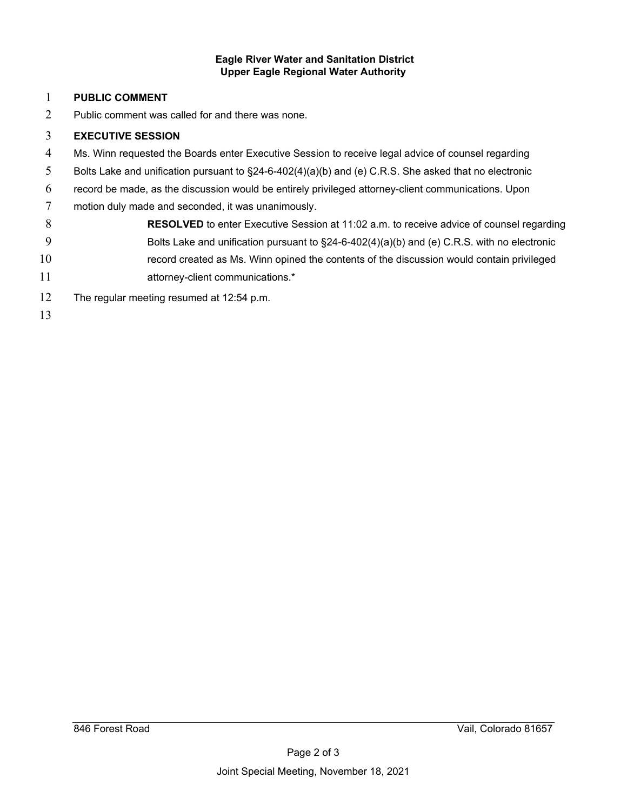#### **Eagle River Water and Sanitation District Upper Eagle Regional Water Authority**

### **PUBLIC COMMENT**

Public comment was called for and there was none.

## **EXECUTIVE SESSION**

- Ms. Winn requested the Boards enter Executive Session to receive legal advice of counsel regarding
- Bolts Lake and unification pursuant to §24-6-402(4)(a)(b) and (e) C.R.S. She asked that no electronic
- record be made, as the discussion would be entirely privileged attorney-client communications. Upon
- motion duly made and seconded, it was unanimously.
- **RESOLVED** to enter Executive Session at 11:02 a.m. to receive advice of counsel regarding Bolts Lake and unification pursuant to §24-6-402(4)(a)(b) and (e) C.R.S. with no electronic record created as Ms. Winn opined the contents of the discussion would contain privileged
- 11 attorney-client communications.\*
- The regular meeting resumed at 12:54 p.m.